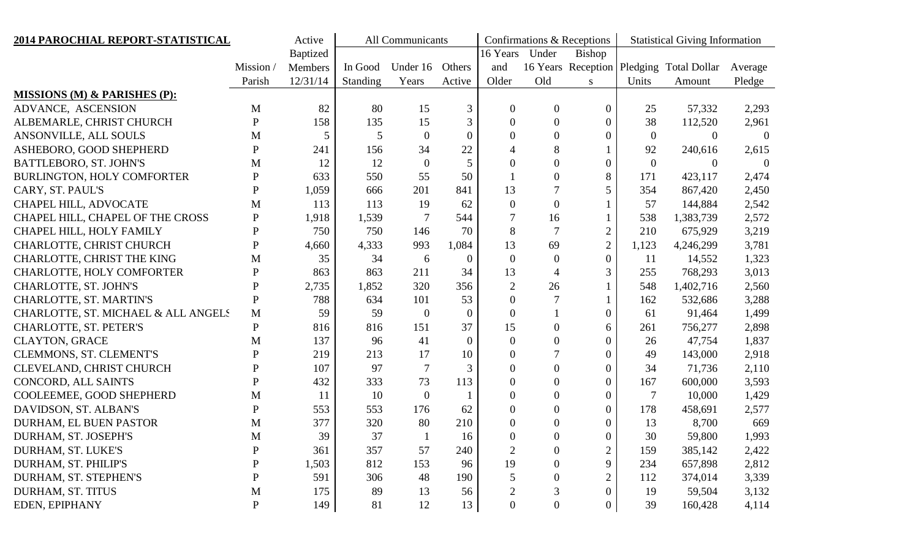| 2014 PAROCHIAL REPORT-STATISTICAL       |              | Active          | All Communicants |                |                |                  |                        | Confirmations & Receptions | <b>Statistical Giving Information</b> |                                          |                |
|-----------------------------------------|--------------|-----------------|------------------|----------------|----------------|------------------|------------------------|----------------------------|---------------------------------------|------------------------------------------|----------------|
|                                         |              | <b>Baptized</b> |                  |                |                | 16 Years         | Under<br><b>Bishop</b> |                            |                                       |                                          |                |
|                                         | Mission/     | Members         | In Good          | Under 16       | Others         | and              |                        |                            |                                       | 16 Years Reception Pledging Total Dollar | Average        |
|                                         | Parish       | 12/31/14        | <b>Standing</b>  | Years          | Active         | Older            | Old                    |                            | Units                                 | Amount                                   | Pledge         |
| <b>MISSIONS (M) &amp; PARISHES (P):</b> |              |                 |                  |                |                |                  |                        |                            |                                       |                                          |                |
| ADVANCE, ASCENSION                      | M            | 82              | 80               | 15             | 3              | $\overline{0}$   | $\overline{0}$         | $\boldsymbol{0}$           | 25                                    | 57,332                                   | 2,293          |
| ALBEMARLE, CHRIST CHURCH                | $\mathbf P$  | 158             | 135              | 15             | 3              | $\overline{0}$   | $\overline{0}$         | $\overline{0}$             | 38                                    | 112,520                                  | 2,961          |
| ANSONVILLE, ALL SOULS                   | $\mathbf M$  | 5               | 5                | $\overline{0}$ | $\overline{0}$ | $\overline{0}$   | $\boldsymbol{0}$       | 0                          | $\overline{0}$                        | $\Omega$                                 | $\Omega$       |
| ASHEBORO, GOOD SHEPHERD                 | ${\bf P}$    | 241             | 156              | 34             | 22             | 4                | 8                      |                            | 92                                    | 240,616                                  | 2,615          |
| BATTLEBORO, ST. JOHN'S                  | M            | 12              | 12               | $\overline{0}$ | 5              | $\overline{0}$   | $\boldsymbol{0}$       | 0                          | $\overline{0}$                        | $\theta$                                 | $\overline{0}$ |
| BURLINGTON, HOLY COMFORTER              | ${\bf P}$    | 633             | 550              | 55             | 50             |                  | $\overline{0}$         | 8                          | 171                                   | 423,117                                  | 2,474          |
| CARY, ST. PAUL'S                        | ${\bf P}$    | 1,059           | 666              | 201            | 841            | 13               | $\tau$                 | 5                          | 354                                   | 867,420                                  | 2,450          |
| CHAPEL HILL, ADVOCATE                   | $\mathbf{M}$ | 113             | 113              | 19             | 62             | $\overline{0}$   | $\overline{0}$         |                            | 57                                    | 144,884                                  | 2,542          |
| CHAPEL HILL, CHAPEL OF THE CROSS        | ${\bf P}$    | 1,918           | 1,539            | $\tau$         | 544            | 7                | 16                     |                            | 538                                   | 1,383,739                                | 2,572          |
| CHAPEL HILL, HOLY FAMILY                | ${\bf P}$    | 750             | 750              | 146            | 70             | 8                | $\overline{7}$         | $\overline{2}$             | 210                                   | 675,929                                  | 3,219          |
| CHARLOTTE, CHRIST CHURCH                | ${\bf P}$    | 4,660           | 4,333            | 993            | 1,084          | 13               | 69                     | $\overline{2}$             | 1,123                                 | 4,246,299                                | 3,781          |
| CHARLOTTE, CHRIST THE KING              | M            | 35              | 34               | 6              | $\overline{0}$ | $\overline{0}$   | $\mathbf{0}$           | $\overline{0}$             | 11                                    | 14,552                                   | 1,323          |
| CHARLOTTE, HOLY COMFORTER               | ${\bf P}$    | 863             | 863              | 211            | 34             | 13               | $\overline{4}$         | 3                          | 255                                   | 768,293                                  | 3,013          |
| CHARLOTTE, ST. JOHN'S                   | ${\bf P}$    | 2,735           | 1,852            | 320            | 356            | $\overline{2}$   | 26                     |                            | 548                                   | 1,402,716                                | 2,560          |
| CHARLOTTE, ST. MARTIN'S                 | ${\bf P}$    | 788             | 634              | 101            | 53             | $\overline{0}$   | $\overline{7}$         |                            | 162                                   | 532,686                                  | 3,288          |
| CHARLOTTE, ST. MICHAEL & ALL ANGELS     | $\mathbf{M}$ | 59              | 59               | $\overline{0}$ | $\overline{0}$ | $\overline{0}$   |                        | $\overline{0}$             | 61                                    | 91,464                                   | 1,499          |
| CHARLOTTE, ST. PETER'S                  | $\mathbf P$  | 816             | 816              | 151            | 37             | 15               | $\overline{0}$         | 6                          | 261                                   | 756,277                                  | 2,898          |
| <b>CLAYTON, GRACE</b>                   | $\mathbf{M}$ | 137             | 96               | 41             | $\overline{0}$ | $\overline{0}$   | $\overline{0}$         | $\overline{0}$             | 26                                    | 47,754                                   | 1,837          |
| CLEMMONS, ST. CLEMENT'S                 | $\mathbf P$  | 219             | 213              | 17             | 10             | $\overline{0}$   | 7                      | $\overline{0}$             | 49                                    | 143,000                                  | 2,918          |
| CLEVELAND, CHRIST CHURCH                | ${\bf P}$    | 107             | 97               | $\overline{7}$ | 3              | $\overline{0}$   | $\overline{0}$         | 0                          | 34                                    | 71,736                                   | 2,110          |
| CONCORD, ALL SAINTS                     | $\mathbf P$  | 432             | 333              | 73             | 113            | $\overline{0}$   | $\overline{0}$         | $\overline{0}$             | 167                                   | 600,000                                  | 3,593          |
| COOLEEMEE, GOOD SHEPHERD                | $\mathbf M$  | 11              | 10               | $\overline{0}$ |                | $\overline{0}$   | $\overline{0}$         | 0                          | $\overline{7}$                        | 10,000                                   | 1,429          |
| DAVIDSON, ST. ALBAN'S                   | $\mathbf P$  | 553             | 553              | 176            | 62             | $\overline{0}$   | $\overline{0}$         | 0                          | 178                                   | 458,691                                  | 2,577          |
| DURHAM, EL BUEN PASTOR                  | M            | 377             | 320              | 80             | 210            | $\overline{0}$   | $\overline{0}$         | 0                          | 13                                    | 8,700                                    | 669            |
| DURHAM, ST. JOSEPH'S                    | M            | 39              | 37               |                | 16             | $\Omega$         | $\Omega$               | $\theta$                   | 30                                    | 59,800                                   | 1,993          |
| DURHAM, ST. LUKE'S                      | ${\bf P}$    | 361             | 357              | 57             | 240            | $\mathfrak{2}$   | $\boldsymbol{0}$       | $\mathbf{2}$               | 159                                   | 385,142                                  | 2,422          |
| DURHAM, ST. PHILIP'S                    | ${\bf P}$    | 1,503           | 812              | 153            | 96             | 19               | $\boldsymbol{0}$       | 9                          | 234                                   | 657,898                                  | 2,812          |
| DURHAM, ST. STEPHEN'S                   | ${\bf P}$    | 591             | 306              | 48             | 190            |                  | $\overline{0}$         | $\overline{2}$             | 112                                   | 374,014                                  | 3,339          |
| DURHAM, ST. TITUS                       | $M_{\rm}$    | 175             | 89               | 13             | 56             |                  | 3                      | $\overline{0}$             | 19                                    | 59,504                                   | 3,132          |
| EDEN, EPIPHANY                          | $\mathbf{P}$ | 149             | 81               | 12             | 13             | $\boldsymbol{0}$ | $\boldsymbol{0}$       | 0                          | 39                                    | 160,428                                  | 4,114          |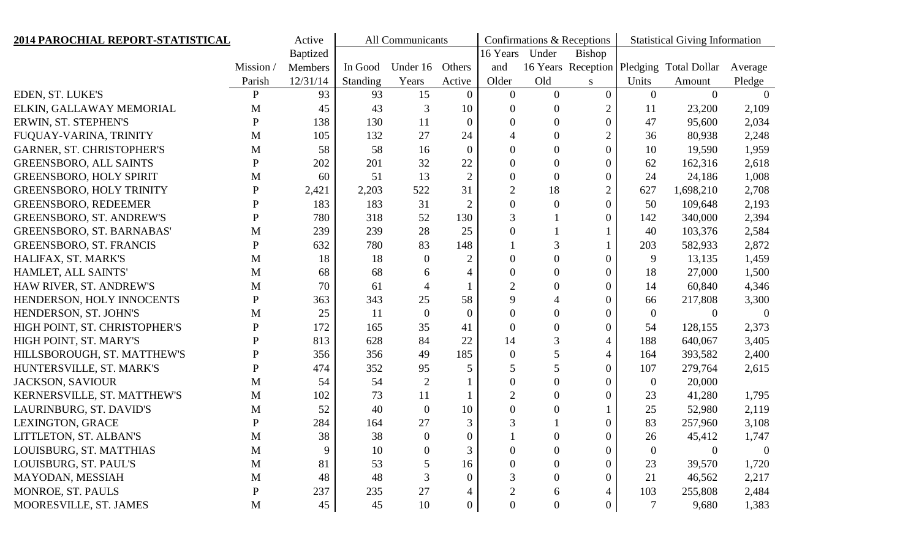| 2014 PAROCHIAL REPORT-STATISTICAL |              | Active          | All Communicants |                  |                  |                  |                  | Confirmations & Receptions | <b>Statistical Giving Information</b> |                                          |                  |
|-----------------------------------|--------------|-----------------|------------------|------------------|------------------|------------------|------------------|----------------------------|---------------------------------------|------------------------------------------|------------------|
|                                   |              | <b>Baptized</b> |                  |                  |                  | 16 Years         | Under            | <b>Bishop</b>              |                                       |                                          |                  |
|                                   | Mission/     | Members         | In Good          | Under 16         | Others           | and              |                  |                            |                                       | 16 Years Reception Pledging Total Dollar | Average          |
|                                   | Parish       | 12/31/14        | Standing         | Years            | Active           | Older            | Old              | S                          | Units                                 | Amount                                   | Pledge           |
| EDEN, ST. LUKE'S                  | $\mathbf{P}$ | 93              | 93               | 15               | $\overline{0}$   | $\overline{0}$   | $\overline{0}$   | $\overline{0}$             | $\overline{0}$                        | $\theta$                                 | $\Omega$         |
| ELKIN, GALLAWAY MEMORIAL          | M            | 45              | 43               | 3                | 10               | $\overline{0}$   | $\boldsymbol{0}$ | $\overline{2}$             | 11                                    | 23,200                                   | 2,109            |
| ERWIN, ST. STEPHEN'S              | $\mathbf P$  | 138             | 130              | 11               | $\overline{0}$   | $\overline{0}$   | $\boldsymbol{0}$ | $\overline{0}$             | 47                                    | 95,600                                   | 2,034            |
| FUQUAY-VARINA, TRINITY            | M            | 105             | 132              | 27               | 24               | 4                | $\boldsymbol{0}$ | $\overline{2}$             | 36                                    | 80,938                                   | 2,248            |
| <b>GARNER, ST. CHRISTOPHER'S</b>  | M            | 58              | 58               | 16               | $\boldsymbol{0}$ | $\overline{0}$   | $\boldsymbol{0}$ | $\overline{0}$             | 10                                    | 19,590                                   | 1,959            |
| <b>GREENSBORO, ALL SAINTS</b>     | ${\bf P}$    | 202             | 201              | 32               | 22               | $\overline{0}$   | $\boldsymbol{0}$ | $\overline{0}$             | 62                                    | 162,316                                  | 2,618            |
| <b>GREENSBORO, HOLY SPIRIT</b>    | М            | 60              | 51               | 13               | $\overline{2}$   | $\boldsymbol{0}$ | $\boldsymbol{0}$ | $\overline{0}$             | 24                                    | 24,186                                   | 1,008            |
| <b>GREENSBORO, HOLY TRINITY</b>   | ${\bf P}$    | 2,421           | 2,203            | 522              | 31               | $\overline{2}$   | 18               | $\mathbf{2}$               | 627                                   | 1,698,210                                | 2,708            |
| <b>GREENSBORO, REDEEMER</b>       | P            | 183             | 183              | 31               | $\overline{2}$   | $\theta$         | $\boldsymbol{0}$ | $\mathbf{0}$               | 50                                    | 109,648                                  | 2,193            |
| <b>GREENSBORO, ST. ANDREW'S</b>   | ${\bf P}$    | 780             | 318              | 52               | 130              | 3                |                  | $\overline{0}$             | 142                                   | 340,000                                  | 2,394            |
| <b>GREENSBORO, ST. BARNABAS'</b>  | M            | 239             | 239              | 28               | 25               | $\overline{0}$   |                  |                            | 40                                    | 103,376                                  | 2,584            |
| <b>GREENSBORO, ST. FRANCIS</b>    | ${\bf P}$    | 632             | 780              | 83               | 148              |                  | 3                |                            | 203                                   | 582,933                                  | 2,872            |
| HALIFAX, ST. MARK'S               | M            | 18              | 18               | $\mathbf{0}$     | $\overline{2}$   | $\boldsymbol{0}$ | $\boldsymbol{0}$ | $\overline{0}$             | 9                                     | 13,135                                   | 1,459            |
| HAMLET, ALL SAINTS'               | M            | 68              | 68               | 6                | $\overline{4}$   | $\overline{0}$   | $\overline{0}$   | $\overline{0}$             | 18                                    | 27,000                                   | 1,500            |
| HAW RIVER, ST. ANDREW'S           | M            | 70              | 61               | $\overline{4}$   |                  | $\overline{2}$   | $\boldsymbol{0}$ | $\overline{0}$             | 14                                    | 60,840                                   | 4,346            |
| HENDERSON, HOLY INNOCENTS         | P            | 363             | 343              | 25               | 58               | 9                | $\overline{4}$   | $\overline{0}$             | 66                                    | 217,808                                  | 3,300            |
| HENDERSON, ST. JOHN'S             | М            | 25              | 11               | $\overline{0}$   | $\boldsymbol{0}$ | $\boldsymbol{0}$ | $\boldsymbol{0}$ | $\overline{0}$             | $\overline{0}$                        | $\overline{0}$                           | $\theta$         |
| HIGH POINT, ST. CHRISTOPHER'S     | $\mathbf P$  | 172             | 165              | 35               | 41               | $\overline{0}$   | $\overline{0}$   | $\overline{0}$             | 54                                    | 128,155                                  | 2,373            |
| HIGH POINT, ST. MARY'S            | P            | 813             | 628              | 84               | 22               | 14               | 3                | $\overline{4}$             | 188                                   | 640,067                                  | 3,405            |
| HILLSBOROUGH, ST. MATTHEW'S       | $\mathbf P$  | 356             | 356              | 49               | 185              | $\boldsymbol{0}$ | 5                | $\overline{4}$             | 164                                   | 393,582                                  | 2,400            |
| HUNTERSVILLE, ST. MARK'S          | P            | 474             | 352              | 95               | 5                | 5                | 5                | $\mathbf{0}$               | 107                                   | 279,764                                  | 2,615            |
| <b>JACKSON, SAVIOUR</b>           | M            | 54              | 54               | $\overline{2}$   |                  | $\overline{0}$   | $\overline{0}$   | $\overline{0}$             | $\overline{0}$                        | 20,000                                   |                  |
| KERNERSVILLE, ST. MATTHEW'S       | M            | 102             | 73               | 11               |                  | $\overline{2}$   | $\boldsymbol{0}$ | $\theta$                   | 23                                    | 41,280                                   | 1,795            |
| LAURINBURG, ST. DAVID'S           | M            | 52              | 40               | $\overline{0}$   | 10               | $\overline{0}$   | $\overline{0}$   |                            | 25                                    | 52,980                                   | 2,119            |
| LEXINGTON, GRACE                  | ${\bf P}$    | 284             | 164              | 27               | 3                | 3                |                  | $\theta$                   | 83                                    | 257,960                                  | 3,108            |
| LITTLETON, ST. ALBAN'S            | M            | 38              | 38               | $\theta$         | $\overline{0}$   |                  | $\theta$         | $\Omega$                   | 26                                    | 45,412                                   | 1,747            |
| LOUISBURG, ST. MATTHIAS           | M            | 9               | 10               | $\boldsymbol{0}$ | $\mathfrak{Z}$   | $\boldsymbol{0}$ | $\boldsymbol{0}$ | $\boldsymbol{0}$           | $\overline{0}$                        | $\boldsymbol{0}$                         | $\boldsymbol{0}$ |
| LOUISBURG, ST. PAUL'S             | M            | 81              | 53               | $\sqrt{5}$       | 16               | $\boldsymbol{0}$ | $\boldsymbol{0}$ | $\theta$                   | 23                                    | 39,570                                   | 1,720            |
| MAYODAN, MESSIAH                  | M            | 48              | 48               | 3                | $\overline{0}$   | 3                | $\boldsymbol{0}$ | $\overline{0}$             | 21                                    | 46,562                                   | 2,217            |
| MONROE, ST. PAULS                 | ${\bf P}$    | 237             | 235              | $27\,$           | $\overline{4}$   | $\boldsymbol{2}$ | 6                |                            | 103                                   | 255,808                                  | 2,484            |
| MOORESVILLE, ST. JAMES            | M            | 45              | 45               | 10               | $\boldsymbol{0}$ | $\boldsymbol{0}$ | $\boldsymbol{0}$ | $\boldsymbol{0}$           | 7                                     | 9,680                                    | 1,383            |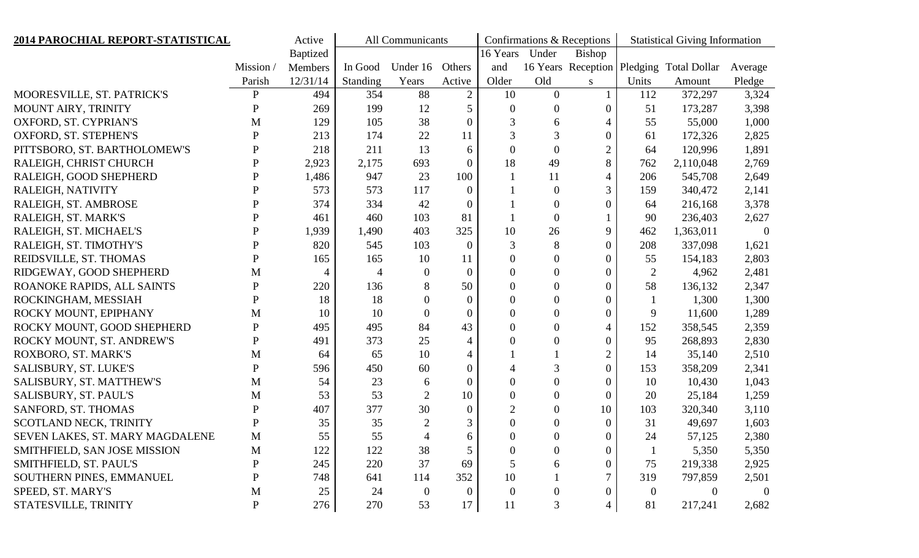| 2014 PAROCHIAL REPORT-STATISTICAL |              | Active   | All Communicants |                  |                |                |                  | Confirmations & Receptions | <b>Statistical Giving Information</b> |                                          |                |
|-----------------------------------|--------------|----------|------------------|------------------|----------------|----------------|------------------|----------------------------|---------------------------------------|------------------------------------------|----------------|
|                                   |              | Baptized |                  |                  |                | 16 Years       | Under            | <b>Bishop</b>              |                                       |                                          |                |
|                                   | Mission      | Members  | In Good          | Under 16         | Others         | and            |                  |                            |                                       | 16 Years Reception Pledging Total Dollar | Average        |
|                                   | Parish       | 12/31/14 | <b>Standing</b>  | Years            | Active         | Older          | Old              | S                          | Units                                 | Amount                                   | Pledge         |
| MOORESVILLE, ST. PATRICK'S        | $\mathbf P$  | 494      | 354              | 88               | $\overline{2}$ | 10             | $\overline{0}$   |                            | 112                                   | 372,297                                  | 3,324          |
| MOUNT AIRY, TRINITY               | $\mathbf P$  | 269      | 199              | 12               | 5              | $\overline{0}$ | $\overline{0}$   | $\overline{0}$             | 51                                    | 173,287                                  | 3,398          |
| OXFORD, ST. CYPRIAN'S             | M            | 129      | 105              | 38               | $\theta$       | 3              | 6                | 4                          | 55                                    | 55,000                                   | 1,000          |
| OXFORD, ST. STEPHEN'S             | ${\bf P}$    | 213      | 174              | 22               | 11             | 3              | 3                | 0                          | 61                                    | 172,326                                  | 2,825          |
| PITTSBORO, ST. BARTHOLOMEW'S      | ${\bf P}$    | 218      | 211              | 13               | 6              | $\overline{0}$ | $\overline{0}$   | $\overline{2}$             | 64                                    | 120,996                                  | 1,891          |
| RALEIGH, CHRIST CHURCH            | ${\bf P}$    | 2,923    | 2,175            | 693              | $\overline{0}$ | 18             | 49               | 8                          | 762                                   | 2,110,048                                | 2,769          |
| RALEIGH, GOOD SHEPHERD            | ${\bf P}$    | 1,486    | 947              | 23               | 100            |                | 11               | 4                          | 206                                   | 545,708                                  | 2,649          |
| RALEIGH, NATIVITY                 | $\mathbf P$  | 573      | 573              | 117              | $\overline{0}$ |                | $\mathbf{0}$     | 3                          | 159                                   | 340,472                                  | 2,141          |
| RALEIGH, ST. AMBROSE              | ${\bf P}$    | 374      | 334              | 42               | $\overline{0}$ |                | $\theta$         | $\overline{0}$             | 64                                    | 216,168                                  | 3,378          |
| RALEIGH, ST. MARK'S               | ${\bf P}$    | 461      | 460              | 103              | 81             |                | $\overline{0}$   |                            | 90                                    | 236,403                                  | 2,627          |
| RALEIGH, ST. MICHAEL'S            | ${\bf P}$    | 1,939    | 1,490            | 403              | 325            | 10             | 26               | 9                          | 462                                   | 1,363,011                                | $\overline{0}$ |
| RALEIGH, ST. TIMOTHY'S            | $\mathbf P$  | 820      | 545              | 103              | $\theta$       | 3              | 8                | 0                          | 208                                   | 337,098                                  | 1,621          |
| REIDSVILLE, ST. THOMAS            | ${\bf P}$    | 165      | 165              | 10               | 11             | $\overline{0}$ | $\theta$         | $\overline{0}$             | 55                                    | 154,183                                  | 2,803          |
| RIDGEWAY, GOOD SHEPHERD           | $\mathbf{M}$ | 4        | $\overline{4}$   | $\overline{0}$   | $\overline{0}$ | $\theta$       | $\overline{0}$   | $\overline{0}$             | $\overline{2}$                        | 4,962                                    | 2,481          |
| ROANOKE RAPIDS, ALL SAINTS        | ${\bf P}$    | 220      | 136              | 8                | 50             | $\theta$       | $\theta$         | 0                          | 58                                    | 136,132                                  | 2,347          |
| ROCKINGHAM, MESSIAH               | $\mathbf P$  | 18       | 18               | $\overline{0}$   | $\overline{0}$ | $\theta$       | $\overline{0}$   | $\overline{0}$             |                                       | 1,300                                    | 1,300          |
| ROCKY MOUNT, EPIPHANY             | M            | 10       | 10               | $\mathbf{0}$     | $\overline{0}$ | $\theta$       | $\theta$         | 0                          | 9                                     | 11,600                                   | 1,289          |
| ROCKY MOUNT, GOOD SHEPHERD        | ${\bf P}$    | 495      | 495              | 84               | 43             | $\overline{0}$ | $\overline{0}$   | 4                          | 152                                   | 358,545                                  | 2,359          |
| ROCKY MOUNT, ST. ANDREW'S         | ${\bf P}$    | 491      | 373              | 25               | 4              | $\theta$       | $\overline{0}$   | 0                          | 95                                    | 268,893                                  | 2,830          |
| ROXBORO, ST. MARK'S               | M            | 64       | 65               | 10               | 4              |                |                  | $\overline{2}$             | 14                                    | 35,140                                   | 2,510          |
| SALISBURY, ST. LUKE'S             | ${\bf P}$    | 596      | 450              | 60               | $\overline{0}$ | 4              | 3                | $\overline{0}$             | 153                                   | 358,209                                  | 2,341          |
| SALISBURY, ST. MATTHEW'S          | $\mathbf M$  | 54       | 23               | 6                | $\overline{0}$ | $\overline{0}$ | $\overline{0}$   | $\overline{0}$             | 10                                    | 10,430                                   | 1,043          |
| SALISBURY, ST. PAUL'S             | $\mathbf M$  | 53       | 53               | $\overline{2}$   | 10             | $\overline{0}$ | $\theta$         | 0                          | 20                                    | 25,184                                   | 1,259          |
| SANFORD, ST. THOMAS               | ${\bf P}$    | 407      | 377              | 30               | $\overline{0}$ | $\overline{2}$ | $\theta$         | 10                         | 103                                   | 320,340                                  | 3,110          |
| SCOTLAND NECK, TRINITY            | $\mathbf P$  | 35       | 35               | $\overline{2}$   | 3              | $\overline{0}$ | $\Omega$         | $\overline{0}$             | 31                                    | 49,697                                   | 1,603          |
| SEVEN LAKES, ST. MARY MAGDALENE   | M            | 55       | 55               | 4                | 6              | $\Omega$       | $\Omega$         | 0                          | 24                                    | 57,125                                   | 2,380          |
| SMITHFIELD, SAN JOSE MISSION      | M            | 122      | 122              | 38               | 5              | $\theta$       | $\boldsymbol{0}$ | $\overline{0}$             |                                       | 5,350                                    | 5,350          |
| SMITHFIELD, ST. PAUL'S            | $\mathbf P$  | 245      | 220              | 37               | 69             | 5              | 6                | 0                          | 75                                    | 219,338                                  | 2,925          |
| SOUTHERN PINES, EMMANUEL          | $\mathbf P$  | 748      | 641              | 114              | 352            | 10             |                  | 7                          | 319                                   | 797,859                                  | 2,501          |
| SPEED, ST. MARY'S                 | M            | 25       | 24               | $\boldsymbol{0}$ | $\mathbf{0}$   | $\Omega$       | $\mathbf{0}$     | 0                          | $\theta$                              | $\Omega$                                 | $\overline{0}$ |
| STATESVILLE, TRINITY              | $\mathbf P$  | 276      | 270              | 53               | 17             | 11             | 3                | 4                          | 81                                    | 217,241                                  | 2,682          |